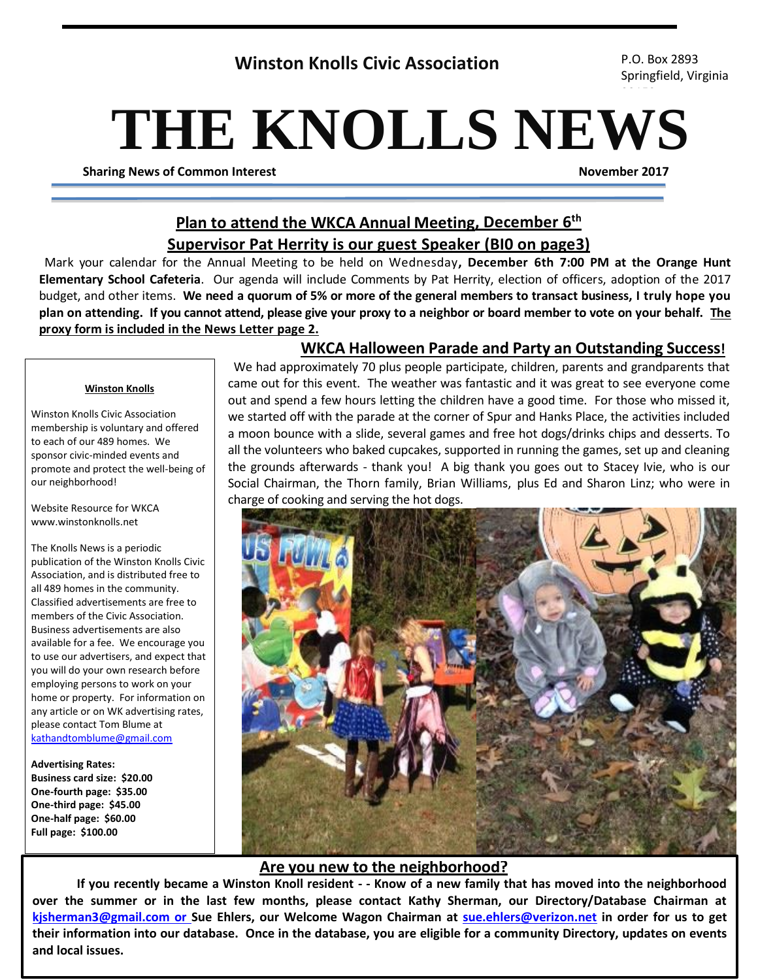**Winston Knolls Civic Association** P.O. Box 2893

Springfield, Virginia

# **THE KNOLLS NEWS**

**Sharing News of Common Interest November 2017**

## **Plan to attend the WKCA Annual Meeting, December 6 th Supervisor Pat Herrity is our guest Speaker (BI0 on page3)**

Mark your calendar for the Annual Meeting to be held on Wednesday**, December 6th 7:00 PM at the Orange Hunt Elementary School Cafeteria**. Our agenda will include Comments by Pat Herrity, election of officers, adoption of the 2017 budget, and other items. **We need a quorum of 5% or more of the general members to transact business, I truly hope you plan on attending. If you cannot attend, please give your proxy to a neighbor or board member to vote on your behalf. The proxy form is included in the News Letter page 2.**

### **Winston Knolls**

Winston Knolls Civic Association membership is voluntary and offered to each of our 489 homes. We sponsor civic-minded events and promote and protect the well-being of our neighborhood!

Website Resource for WKCA www.winstonknolls.net

The Knolls News is a periodic publication of the Winston Knolls Civic Association, and is distributed free to all 489 homes in the community. Classified advertisements are free to members of the Civic Association. Business advertisements are also available for a fee. We encourage you to use our advertisers, and expect that you will do your own research before employing persons to work on your home or property. For information on any article or on WK advertising rates, please contact Tom Blume at [kathandtomblume@gmail.com](mailto:kathandtomblume@gmail.com)

**Advertising Rates: Business card size: \$20.00 One-fourth page: \$35.00 One-third page: \$45.00 One-half page: \$60.00 Full page: \$100.00**

## **WKCA Halloween Parade and Party an Outstanding Success!**

We had approximately 70 plus people participate, children, parents and grandparents that came out for this event. The weather was fantastic and it was great to see everyone come out and spend a few hours letting the children have a good time. For those who missed it, we started off with the parade at the corner of Spur and Hanks Place, the activities included a moon bounce with a slide, several games and free hot dogs/drinks chips and desserts. To all the volunteers who baked cupcakes, supported in running the games, set up and cleaning the grounds afterwards - thank you! A big thank you goes out to Stacey Ivie, who is our Social Chairman, the Thorn family, Brian Williams, plus Ed and Sharon Linz; who were in charge of cooking and serving the hot dogs.



### **Are you new to the neighborhood?**

**If you recently became a Winston Knoll resident - - Know of a new family that has moved into the neighborhood over the summer or in the last few months, please contact Kathy Sherman, our Directory/Database Chairman at [kjsherman3@gmail.com or](mailto:kjsherman3@gmail.com%20or) Sue Ehlers, our Welcome Wagon Chairman at [sue.ehlers@verizon.net](mailto:sue.ehlers@verizon.net) in order for us to get their information into our database. Once in the database, you are eligible for a community Directory, updates on events and local issues.**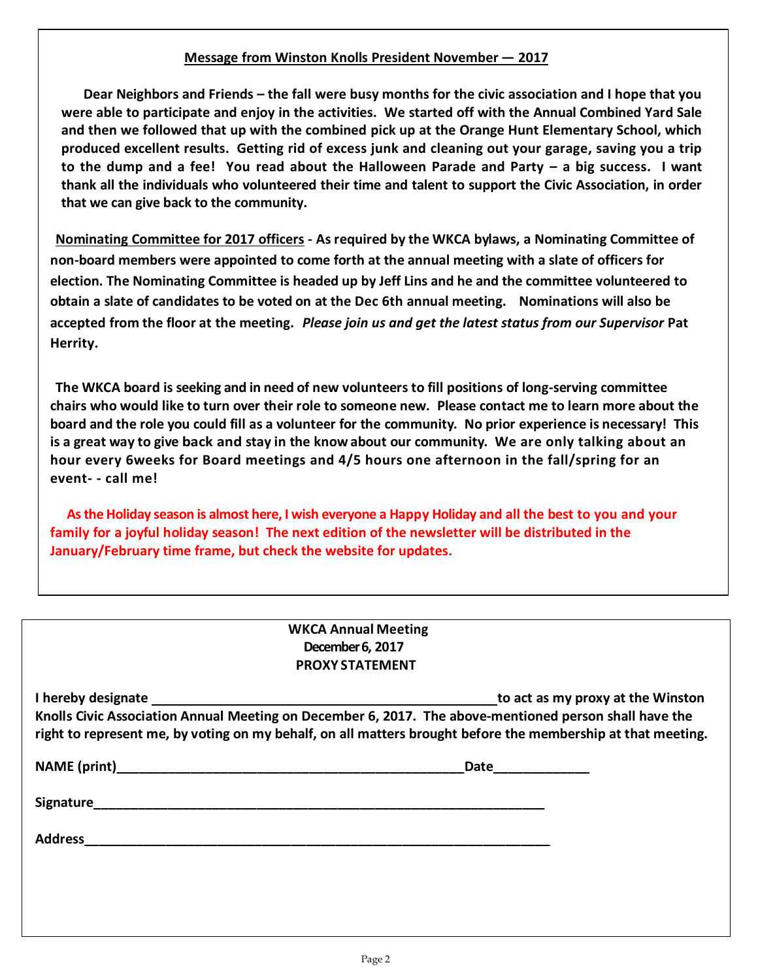## **Message from Winston Knolls President November – <sup>2017</sup>**

**Dear Neighbors and Friends – the fall were busy months for the civic association and I hope that you were able to participate and enjoy in the activities. We started off with the Annual Combined Yard Sale and then we followed that up with the combined pick up at the Orange Hunt Elementary School, which produced excellent results. Getting rid of excess junk and cleaning out your garage, saving you a trip to the dump and a fee! You read about the Halloween Parade and Party – a big success. I want thank all the individuals who volunteered their time and talent to support the Civic Association, in order that we can give back to the community.**

**Nominating Committee for 2017 officers - As required by the WKCA bylaws, a Nominating Committee of non-board members were appointed to come forth at the annual meeting with a slate of officers for election. The Nominating Committee is headed up by Jeff Lins and he and the committee volunteered to obtain a slate of candidates to be voted on at the Dec 6th annual meeting. Nominations will also be accepted from the floor at the meeting.** *Please join us and get the latest status from our Supervisor* **Pat Herrity.**

**The WKCA board is seeking and in need of new volunteers to fill positions of long-serving committee**  chairs who would like to turn over their role to someone new. Please contact me to learn more about the **board and the role you could fill as a volunteer for the community. No prior experience is necessary! This is a great way to give back and stay in the know about our community. We are only talking about an hour every 6weeks for Board meetings and 4/5 hours one afternoon in the fall/spring for an event- - call me!**

**As the Holiday season is almost here, I wish everyone a Happy Holiday and all the best to you and your family for a joyful holiday season! The next edition of the newsletter will be distributed in the January/February time frame, but check the website for updates.** 

| <b>WKCA Annual Meeting</b> |
|----------------------------|
| December 6, 2017           |
| <b>PROXY STATEMENT</b>     |

| I hereby designate                                                                                           | to act as my proxy at the Winston |
|--------------------------------------------------------------------------------------------------------------|-----------------------------------|
| Knolls Civic Association Annual Meeting on December 6, 2017. The above-mentioned person shall have the       |                                   |
| right to represent me, by voting on my behalf, on all matters brought before the membership at that meeting. |                                   |

**NAME** (print) **Date** 

**Signature\_\_\_\_\_\_\_\_\_\_\_\_\_\_\_\_\_\_\_\_\_\_\_\_\_\_\_\_\_\_\_\_\_\_\_\_\_\_\_\_\_\_\_\_\_\_\_\_\_\_\_\_\_\_\_\_\_\_\_\_\_**

**Address\_\_\_\_\_\_\_\_\_\_\_\_\_\_\_\_\_\_\_\_\_\_\_\_\_\_\_\_\_\_\_\_\_\_\_\_\_\_\_\_\_\_\_\_\_\_\_\_\_\_\_\_\_\_\_\_\_\_\_\_\_\_\_**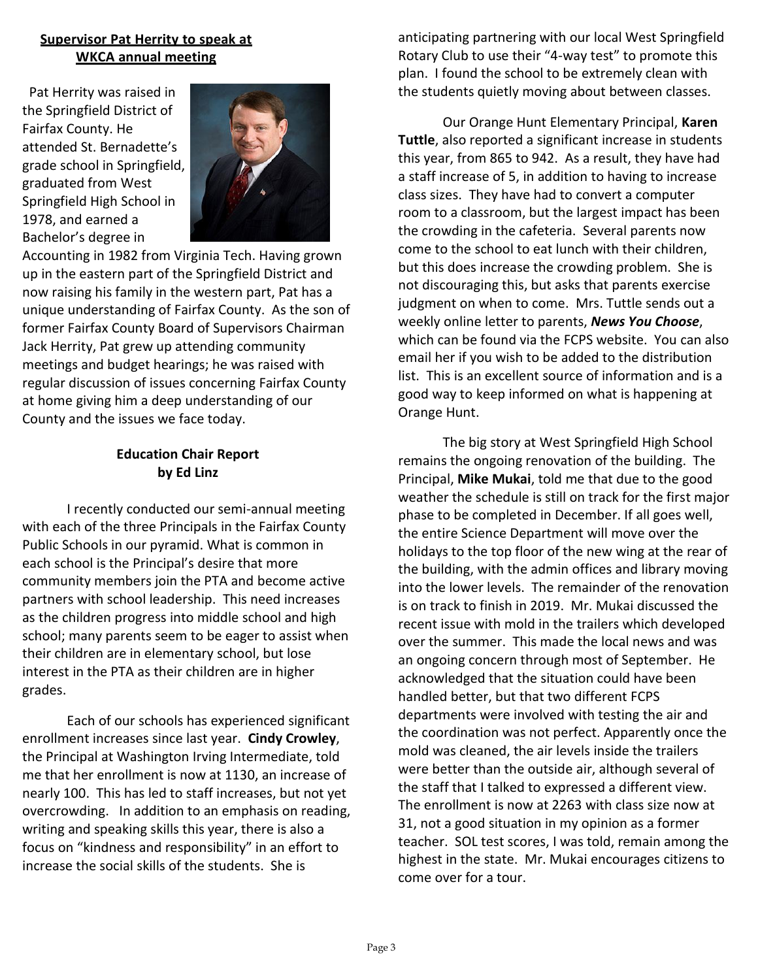## **Supervisor Pat Herrity to speak at WKCA annual meeting**

 Pat Herrity was raised in the Springfield District of Fairfax County. He attended St. Bernadette's grade school in Springfield, graduated from West Springfield High School in 1978, and earned a Bachelor's degree in



Accounting in 1982 from Virginia Tech. Having grown up in the eastern part of the Springfield District and now raising his family in the western part, Pat has a unique understanding of Fairfax County. As the son of former Fairfax County Board of Supervisors Chairman Jack Herrity, Pat grew up attending community meetings and budget hearings; he was raised with regular discussion of issues concerning Fairfax County at home giving him a deep understanding of our County and the issues we face today.

## **Education Chair Report by Ed Linz**

I recently conducted our semi-annual meeting with each of the three Principals in the Fairfax County Public Schools in our pyramid. What is common in each school is the Principal's desire that more community members join the PTA and become active partners with school leadership. This need increases as the children progress into middle school and high school; many parents seem to be eager to assist when their children are in elementary school, but lose interest in the PTA as their children are in higher grades.

Each of our schools has experienced significant enrollment increases since last year. **Cindy Crowley**, the Principal at Washington Irving Intermediate, told me that her enrollment is now at 1130, an increase of nearly 100. This has led to staff increases, but not yet overcrowding. In addition to an emphasis on reading, writing and speaking skills this year, there is also a focus on "kindness and responsibility" in an effort to increase the social skills of the students. She is

anticipating partnering with our local West Springfield Rotary Club to use their "4-way test" to promote this plan. I found the school to be extremely clean with the students quietly moving about between classes.

Our Orange Hunt Elementary Principal, **Karen Tuttle**, also reported a significant increase in students this year, from 865 to 942. As a result, they have had a staff increase of 5, in addition to having to increase class sizes. They have had to convert a computer room to a classroom, but the largest impact has been the crowding in the cafeteria. Several parents now come to the school to eat lunch with their children, but this does increase the crowding problem. She is not discouraging this, but asks that parents exercise judgment on when to come. Mrs. Tuttle sends out a weekly online letter to parents, *News You Choose*, which can be found via the FCPS website. You can also email her if you wish to be added to the distribution list. This is an excellent source of information and is a good way to keep informed on what is happening at Orange Hunt.

The big story at West Springfield High School remains the ongoing renovation of the building. The Principal, **Mike Mukai**, told me that due to the good weather the schedule is still on track for the first major phase to be completed in December. If all goes well, the entire Science Department will move over the holidays to the top floor of the new wing at the rear of the building, with the admin offices and library moving into the lower levels. The remainder of the renovation is on track to finish in 2019. Mr. Mukai discussed the recent issue with mold in the trailers which developed over the summer. This made the local news and was an ongoing concern through most of September. He acknowledged that the situation could have been handled better, but that two different FCPS departments were involved with testing the air and the coordination was not perfect. Apparently once the mold was cleaned, the air levels inside the trailers were better than the outside air, although several of the staff that I talked to expressed a different view. The enrollment is now at 2263 with class size now at 31, not a good situation in my opinion as a former teacher. SOL test scores, I was told, remain among the highest in the state. Mr. Mukai encourages citizens to come over for a tour.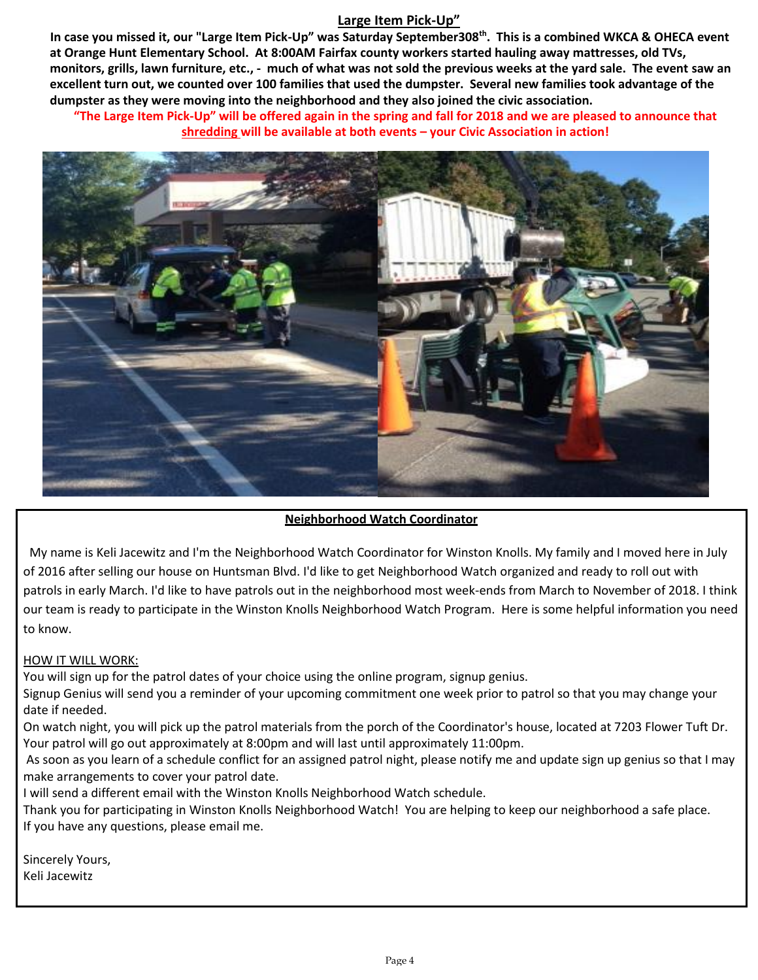## **Large Item Pick-Up"**

**In case you missed it, our "Large Item Pick-Up" was Saturday September308th . This is a combined WKCA & OHECA event at Orange Hunt Elementary School. At 8:00AM Fairfax county workers started hauling away mattresses, old TVs, monitors, grills, lawn furniture, etc., - much of what was not sold the previous weeks at the yard sale. The event saw an excellent turn out, we counted over 100 families that used the dumpster. Several new families took advantage of the dumpster as they were moving into the neighborhood and they also joined the civic association.** 

**"The Large Item Pick-Up" will be offered again in the spring and fall for 2018 and we are pleased to announce that shredding will be available at both events – your Civic Association in action!**



### **Neighborhood Watch Coordinator**

 My name is Keli Jacewitz and I'm the Neighborhood Watch Coordinator for Winston Knolls. My family and I moved here in July of 2016 after selling our house on Huntsman Blvd. I'd like to get Neighborhood Watch organized and ready to roll out with patrols in early March. I'd like to have patrols out in the neighborhood most week-ends from March to November of 2018. I think our team is ready to participate in the Winston Knolls Neighborhood Watch Program. Here is some helpful information you need to know.

### HOW IT WILL WORK:

You will sign up for the patrol dates of your choice using the online program, signup genius.

 Signup Genius will send you a reminder of your upcoming commitment one week prior to patrol so that you may change your date if needed.

 On watch night, you will pick up the patrol materials from the porch of the Coordinator's house, located at 7203 Flower Tuft Dr. Your patrol will go out approximately at 8:00pm and will last until approximately 11:00pm.

As soon as you learn of a schedule conflict for an assigned patrol night, please notify me and update sign up genius so that I may make arrangements to cover your patrol date.

I will send a different email with the Winston Knolls Neighborhood Watch schedule.

Thank you for participating in Winston Knolls Neighborhood Watch! You are helping to keep our neighborhood a safe place. If you have any questions, please email me.

Sincerely Yours, Keli Jacewitz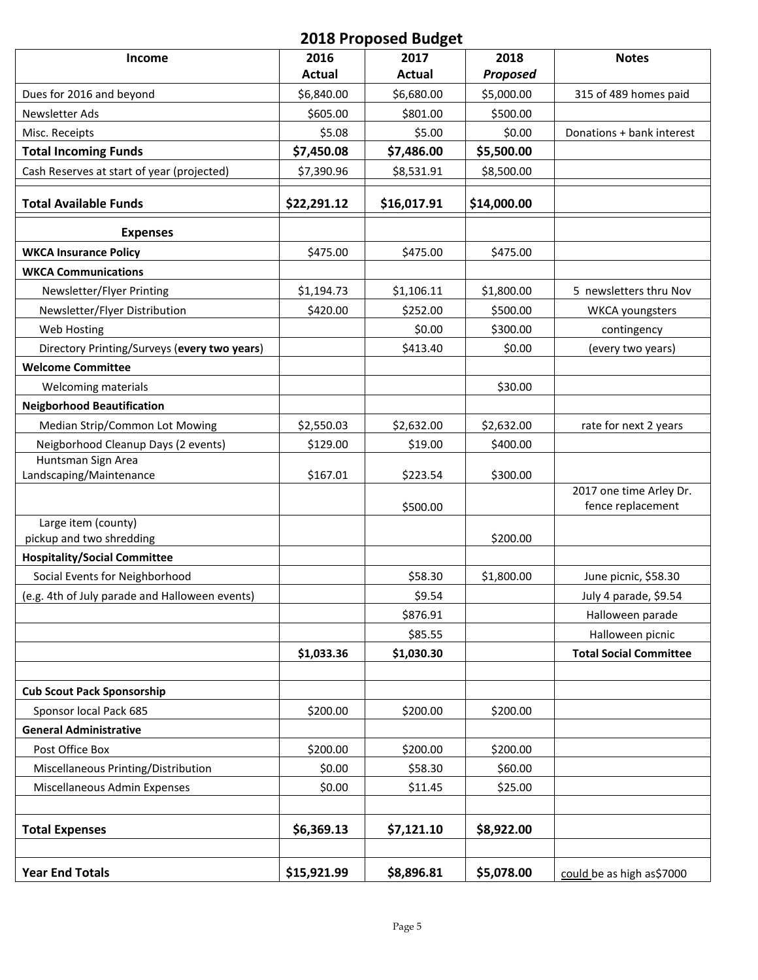## **2018 Proposed Budget**

| Income                                         | 2016        | 2017        | 2018            | <b>Notes</b>                  |
|------------------------------------------------|-------------|-------------|-----------------|-------------------------------|
|                                                | Actual      | Actual      | <b>Proposed</b> |                               |
| Dues for 2016 and beyond                       | \$6,840.00  | \$6,680.00  | \$5,000.00      | 315 of 489 homes paid         |
| Newsletter Ads                                 | \$605.00    | \$801.00    | \$500.00        |                               |
| Misc. Receipts                                 | \$5.08      | \$5.00      | \$0.00          | Donations + bank interest     |
| <b>Total Incoming Funds</b>                    | \$7,450.08  | \$7,486.00  | \$5,500.00      |                               |
| Cash Reserves at start of year (projected)     | \$7,390.96  | \$8,531.91  | \$8,500.00      |                               |
| <b>Total Available Funds</b>                   | \$22,291.12 | \$16,017.91 | \$14,000.00     |                               |
| <b>Expenses</b>                                |             |             |                 |                               |
| <b>WKCA Insurance Policy</b>                   | \$475.00    | \$475.00    | \$475.00        |                               |
| <b>WKCA Communications</b>                     |             |             |                 |                               |
| Newsletter/Flyer Printing                      | \$1,194.73  | \$1,106.11  | \$1,800.00      | 5 newsletters thru Nov        |
| Newsletter/Flyer Distribution                  | \$420.00    | \$252.00    | \$500.00        | <b>WKCA</b> youngsters        |
| Web Hosting                                    |             | \$0.00      | \$300.00        | contingency                   |
| Directory Printing/Surveys (every two years)   |             | \$413.40    | \$0.00          | (every two years)             |
| <b>Welcome Committee</b>                       |             |             |                 |                               |
| Welcoming materials                            |             |             | \$30.00         |                               |
| <b>Neigborhood Beautification</b>              |             |             |                 |                               |
| Median Strip/Common Lot Mowing                 | \$2,550.03  | \$2,632.00  | \$2,632.00      | rate for next 2 years         |
| Neigborhood Cleanup Days (2 events)            | \$129.00    | \$19.00     | \$400.00        |                               |
| Huntsman Sign Area                             |             |             |                 |                               |
| Landscaping/Maintenance                        | \$167.01    | \$223.54    | \$300.00        | 2017 one time Arley Dr.       |
|                                                |             | \$500.00    |                 | fence replacement             |
| Large item (county)                            |             |             |                 |                               |
| pickup and two shredding                       |             |             | \$200.00        |                               |
| <b>Hospitality/Social Committee</b>            |             |             |                 |                               |
| Social Events for Neighborhood                 |             | \$58.30     | \$1,800.00      | June picnic, \$58.30          |
| (e.g. 4th of July parade and Halloween events) |             | \$9.54      |                 | July 4 parade, \$9.54         |
|                                                |             | \$876.91    |                 | Halloween parade              |
|                                                |             | \$85.55     |                 | Halloween picnic              |
|                                                | \$1,033.36  | \$1,030.30  |                 | <b>Total Social Committee</b> |
| <b>Cub Scout Pack Sponsorship</b>              |             |             |                 |                               |
| Sponsor local Pack 685                         | \$200.00    | \$200.00    | \$200.00        |                               |
| <b>General Administrative</b>                  |             |             |                 |                               |
| Post Office Box                                | \$200.00    | \$200.00    | \$200.00        |                               |
| Miscellaneous Printing/Distribution            | \$0.00      | \$58.30     | \$60.00         |                               |
| Miscellaneous Admin Expenses                   | \$0.00      | \$11.45     | \$25.00         |                               |
|                                                |             |             |                 |                               |
| <b>Total Expenses</b>                          | \$6,369.13  | \$7,121.10  | \$8,922.00      |                               |
|                                                |             |             |                 |                               |
| <b>Year End Totals</b>                         | \$15,921.99 | \$8,896.81  | \$5,078.00      | could be as high as\$7000     |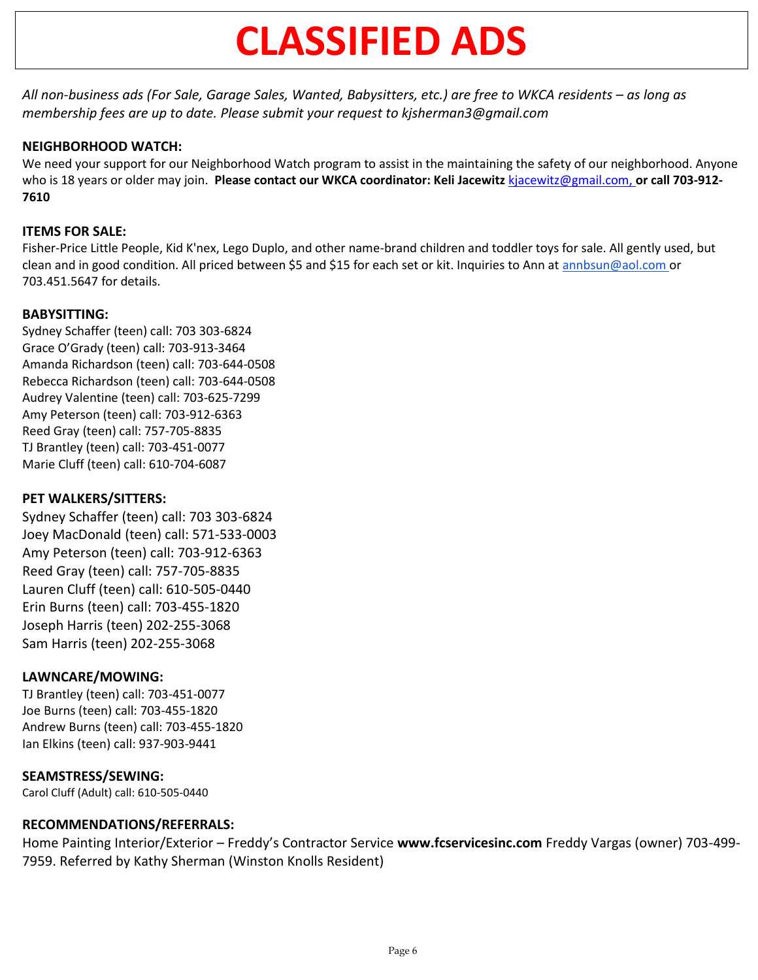## **CLASSIFIED ADS**

*All non-business ads (For Sale, Garage Sales, Wanted, Babysitters, etc.) are free to WKCA residents – as long as membership fees are up to date. Please submit your request to kjsherman3@gmail.com*

## **NEIGHBORHOOD WATCH:**

We need your support for our Neighborhood Watch program to assist in the maintaining the safety of our neighborhood. Anyone who is 18 years or older may join. **Please contact our WKCA coordinator: Keli Jacewitz** [kjacewitz@gmail.com,](mailto:kjacewitz@gmail.com) **or call 703-912- 7610**

## **ITEMS FOR SALE:**

Fisher-Price Little People, Kid K'nex, Lego Duplo, and other name-brand children and toddler toys for sale. All gently used, but clean and in good condition. All priced between \$5 and \$15 for each set or kit. Inquiries to Ann at [annbsun@aol.com](mailto:annbsun@aol.com) or 703.451.5647 for details.

## **BABYSITTING:**

Sydney Schaffer (teen) call: 703 303-6824 Grace O'Grady (teen) call: 703-913-3464 Amanda Richardson (teen) call: 703-644-0508 Rebecca Richardson (teen) call: 703-644-0508 Audrey Valentine (teen) call: 703-625-7299 Amy Peterson (teen) call: 703-912-6363 Reed Gray (teen) call: 757-705-8835 TJ Brantley (teen) call: 703-451-0077 Marie Cluff (teen) call: 610-704-6087

## **PET WALKERS/SITTERS:**

Sydney Schaffer (teen) call: 703 303-6824 Joey MacDonald (teen) call: 571-533-0003 Amy Peterson (teen) call: 703-912-6363 Reed Gray (teen) call: 757-705-8835 Lauren Cluff (teen) call: 610-505-0440 Erin Burns (teen) call: 703-455-1820 Joseph Harris (teen) 202-255-3068 Sam Harris (teen) 202-255-3068

## **LAWNCARE/MOWING:**

TJ Brantley (teen) call: 703-451-0077 Joe Burns (teen) call: 703-455-1820 Andrew Burns (teen) call: 703-455-1820 Ian Elkins (teen) call: 937-903-9441

## **SEAMSTRESS/SEWING:**

Carol Cluff (Adult) call: 610-505-0440

## **RECOMMENDATIONS/REFERRALS:**

Home Painting Interior/Exterior – Freddy's Contractor Service **www.fcservicesinc.com** Freddy Vargas (owner) 703-499- 7959. Referred by Kathy Sherman (Winston Knolls Resident)